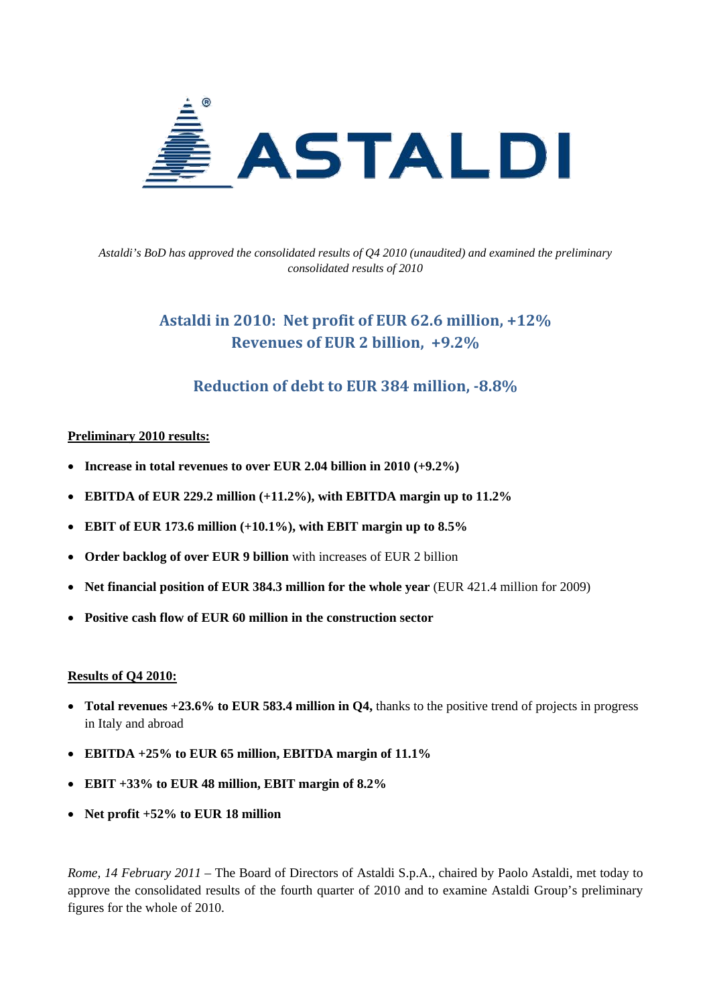

*Astaldi's BoD has approved the consolidated results of Q4 2010 (unaudited) and examined the preliminary consolidated results of 2010* 

# **Astaldi in 2010: Net profit of EUR 62.6 million, +12% Revenues of EUR 2 billion, +9.2%**

## **Reduction of debt to EUR 384 million, 8.8%**

### **Preliminary 2010 results:**

- **Increase in total revenues to over EUR 2.04 billion in 2010 (+9.2%)**
- **EBITDA of EUR 229.2 million (+11.2%), with EBITDA margin up to 11.2%**
- **EBIT of EUR 173.6 million (+10.1%), with EBIT margin up to 8.5%**
- **Order backlog of over EUR 9 billion** with increases of EUR 2 billion
- Net financial position of EUR 384.3 million for the whole year (EUR 421.4 million for 2009)
- **Positive cash flow of EUR 60 million in the construction sector**

#### **Results of Q4 2010:**

- **Total revenues +23.6% to EUR 583.4 million in Q4,** thanks to the positive trend of projects in progress in Italy and abroad
- **EBITDA +25% to EUR 65 million, EBITDA margin of 11.1%**
- **EBIT +33% to EUR 48 million, EBIT margin of 8.2%**
- **Net profit +52% to EUR 18 million**

*Rome, 14 February 2011* – The Board of Directors of Astaldi S.p.A., chaired by Paolo Astaldi, met today to approve the consolidated results of the fourth quarter of 2010 and to examine Astaldi Group's preliminary figures for the whole of 2010.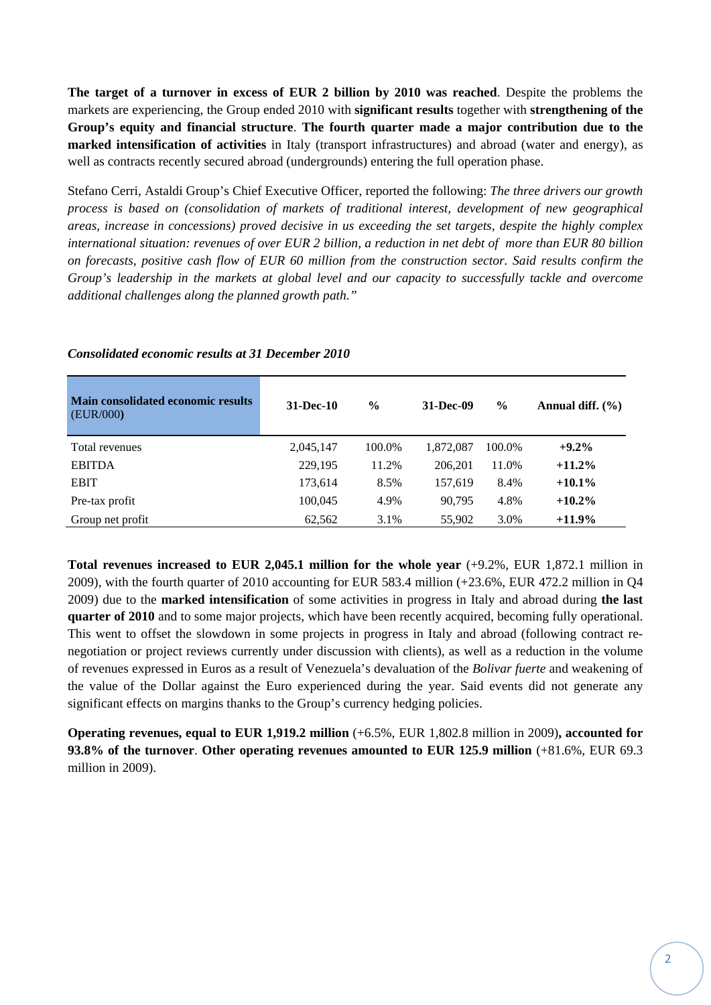**The target of a turnover in excess of EUR 2 billion by 2010 was reached**. Despite the problems the markets are experiencing, the Group ended 2010 with **significant results** together with **strengthening of the Group's equity and financial structure**. **The fourth quarter made a major contribution due to the marked intensification of activities** in Italy (transport infrastructures) and abroad (water and energy), as well as contracts recently secured abroad (undergrounds) entering the full operation phase.

Stefano Cerri, Astaldi Group's Chief Executive Officer, reported the following: *The three drivers our growth process is based on (consolidation of markets of traditional interest, development of new geographical areas, increase in concessions) proved decisive in us exceeding the set targets, despite the highly complex international situation: revenues of over EUR 2 billion, a reduction in net debt of more than EUR 80 billion on forecasts, positive cash flow of EUR 60 million from the construction sector. Said results confirm the Group's leadership in the markets at global level and our capacity to successfully tackle and overcome additional challenges along the planned growth path."* 

| <b>Main consolidated economic results</b><br>(EUR/000) | 31-Dec-10 | $\frac{6}{9}$ | 31-Dec-09 | $\frac{6}{9}$ | Annual diff. $(\% )$ |
|--------------------------------------------------------|-----------|---------------|-----------|---------------|----------------------|
| Total revenues                                         | 2,045,147 | 100.0%        | 1,872,087 | 100.0%        | $+9.2\%$             |
| <b>EBITDA</b>                                          | 229,195   | 11.2%         | 206.201   | 11.0%         | $+11.2\%$            |
| <b>EBIT</b>                                            | 173,614   | 8.5%          | 157,619   | 8.4%          | $+10.1\%$            |
| Pre-tax profit                                         | 100,045   | 4.9%          | 90,795    | 4.8%          | $+10.2\%$            |
| Group net profit                                       | 62,562    | 3.1%          | 55,902    | 3.0%          | $+11.9\%$            |

#### *Consolidated economic results at 31 December 2010*

**Total revenues increased to EUR 2,045.1 million for the whole year** (+9.2%, EUR 1,872.1 million in 2009), with the fourth quarter of 2010 accounting for EUR 583.4 million (+23.6%, EUR 472.2 million in Q4 2009) due to the **marked intensification** of some activities in progress in Italy and abroad during **the last quarter of 2010** and to some major projects, which have been recently acquired, becoming fully operational. This went to offset the slowdown in some projects in progress in Italy and abroad (following contract renegotiation or project reviews currently under discussion with clients), as well as a reduction in the volume of revenues expressed in Euros as a result of Venezuela's devaluation of the *Bolivar fuerte* and weakening of the value of the Dollar against the Euro experienced during the year. Said events did not generate any significant effects on margins thanks to the Group's currency hedging policies.

**Operating revenues, equal to EUR 1,919.2 million** (+6.5%, EUR 1,802.8 million in 2009)**, accounted for 93.8% of the turnover**. **Other operating revenues amounted to EUR 125.9 million** (+81.6%, EUR 69.3 million in 2009).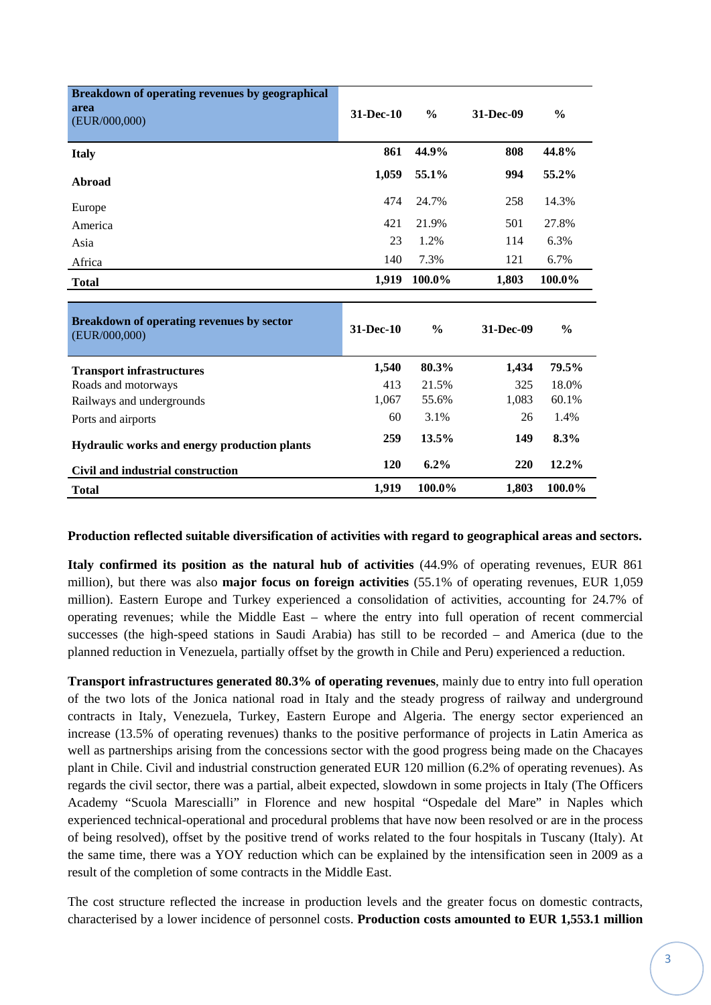| Breakdown of operating revenues by geographical<br>area<br>(EUR/000,000) | 31-Dec-10 | $\frac{0}{0}$ | 31-Dec-09 | $\frac{0}{0}$ |
|--------------------------------------------------------------------------|-----------|---------------|-----------|---------------|
| <b>Italy</b>                                                             | 861       | 44.9%         | 808       | 44.8%         |
| Abroad                                                                   | 1,059     | 55.1%         | 994       | 55.2%         |
| Europe                                                                   | 474       | 24.7%         | 258       | 14.3%         |
| America                                                                  | 421       | 21.9%         | 501       | 27.8%         |
| Asia                                                                     | 23        | 1.2%          | 114       | 6.3%          |
| Africa                                                                   | 140       | 7.3%          | 121       | 6.7%          |
| <b>Total</b>                                                             | 1,919     | 100.0%        | 1,803     | 100.0%        |
|                                                                          |           |               |           |               |
| Breakdown of operating revenues by sector<br>(EUR/000,000)               | 31-Dec-10 |               |           |               |
|                                                                          |           | $\frac{0}{0}$ | 31-Dec-09 | $\frac{0}{0}$ |
|                                                                          | 1,540     | 80.3%         | 1,434     | 79.5%         |
| <b>Transport infrastructures</b><br>Roads and motorways                  | 413       | 21.5%         | 325       | 18.0%         |
| Railways and undergrounds                                                | 1,067     | 55.6%         | 1,083     | 60.1%         |
| Ports and airports                                                       | 60        | 3.1%          | 26        | 1.4%          |
| Hydraulic works and energy production plants                             | 259       | 13.5%         | 149       | 8.3%          |
| Civil and industrial construction                                        | 120       | $6.2\%$       | 220       | 12.2%         |

#### **Production reflected suitable diversification of activities with regard to geographical areas and sectors.**

**Italy confirmed its position as the natural hub of activities** (44.9% of operating revenues, EUR 861 million), but there was also **major focus on foreign activities** (55.1% of operating revenues, EUR 1,059 million). Eastern Europe and Turkey experienced a consolidation of activities, accounting for 24.7% of operating revenues; while the Middle East – where the entry into full operation of recent commercial successes (the high-speed stations in Saudi Arabia) has still to be recorded – and America (due to the planned reduction in Venezuela, partially offset by the growth in Chile and Peru) experienced a reduction.

**Transport infrastructures generated 80.3% of operating revenues**, mainly due to entry into full operation of the two lots of the Jonica national road in Italy and the steady progress of railway and underground contracts in Italy, Venezuela, Turkey, Eastern Europe and Algeria. The energy sector experienced an increase (13.5% of operating revenues) thanks to the positive performance of projects in Latin America as well as partnerships arising from the concessions sector with the good progress being made on the Chacayes plant in Chile. Civil and industrial construction generated EUR 120 million (6.2% of operating revenues). As regards the civil sector, there was a partial, albeit expected, slowdown in some projects in Italy (The Officers Academy "Scuola Marescialli" in Florence and new hospital "Ospedale del Mare" in Naples which experienced technical-operational and procedural problems that have now been resolved or are in the process of being resolved), offset by the positive trend of works related to the four hospitals in Tuscany (Italy). At the same time, there was a YOY reduction which can be explained by the intensification seen in 2009 as a result of the completion of some contracts in the Middle East.

The cost structure reflected the increase in production levels and the greater focus on domestic contracts, characterised by a lower incidence of personnel costs. **Production costs amounted to EUR 1,553.1 million**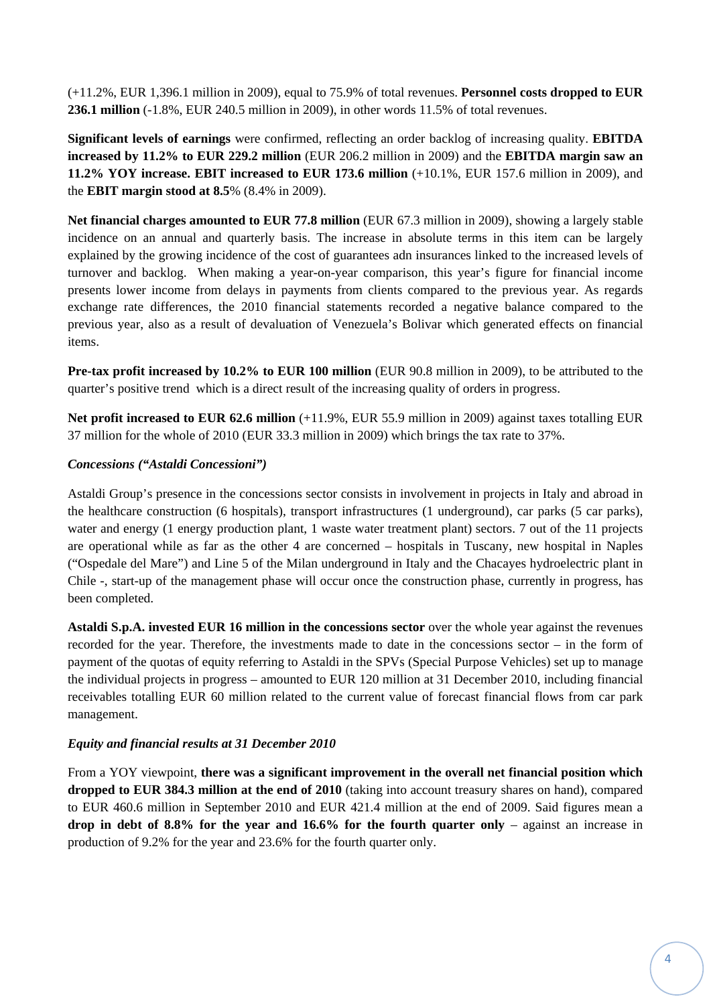(+11.2%, EUR 1,396.1 million in 2009), equal to 75.9% of total revenues. **Personnel costs dropped to EUR 236.1 million** (-1.8%, EUR 240.5 million in 2009), in other words 11.5% of total revenues.

**Significant levels of earnings** were confirmed, reflecting an order backlog of increasing quality. **EBITDA increased by 11.2% to EUR 229.2 million** (EUR 206.2 million in 2009) and the **EBITDA margin saw an 11.2% YOY increase. EBIT increased to EUR 173.6 million** (+10.1%, EUR 157.6 million in 2009), and the **EBIT margin stood at 8.5**% (8.4% in 2009).

**Net financial charges amounted to EUR 77.8 million** (EUR 67.3 million in 2009), showing a largely stable incidence on an annual and quarterly basis. The increase in absolute terms in this item can be largely explained by the growing incidence of the cost of guarantees adn insurances linked to the increased levels of turnover and backlog. When making a year-on-year comparison, this year's figure for financial income presents lower income from delays in payments from clients compared to the previous year. As regards exchange rate differences, the 2010 financial statements recorded a negative balance compared to the previous year, also as a result of devaluation of Venezuela's Bolivar which generated effects on financial items.

**Pre-tax profit increased by 10.2% to EUR 100 million** (EUR 90.8 million in 2009), to be attributed to the quarter's positive trend which is a direct result of the increasing quality of orders in progress.

**Net profit increased to EUR 62.6 million** (+11.9%, EUR 55.9 million in 2009) against taxes totalling EUR 37 million for the whole of 2010 (EUR 33.3 million in 2009) which brings the tax rate to 37%.

## *Concessions ("Astaldi Concessioni")*

Astaldi Group's presence in the concessions sector consists in involvement in projects in Italy and abroad in the healthcare construction (6 hospitals), transport infrastructures (1 underground), car parks (5 car parks), water and energy (1 energy production plant, 1 waste water treatment plant) sectors. 7 out of the 11 projects are operational while as far as the other 4 are concerned – hospitals in Tuscany, new hospital in Naples ("Ospedale del Mare") and Line 5 of the Milan underground in Italy and the Chacayes hydroelectric plant in Chile -, start-up of the management phase will occur once the construction phase, currently in progress, has been completed.

**Astaldi S.p.A. invested EUR 16 million in the concessions sector** over the whole year against the revenues recorded for the year. Therefore, the investments made to date in the concessions sector – in the form of payment of the quotas of equity referring to Astaldi in the SPVs (Special Purpose Vehicles) set up to manage the individual projects in progress – amounted to EUR 120 million at 31 December 2010, including financial receivables totalling EUR 60 million related to the current value of forecast financial flows from car park management.

## *Equity and financial results at 31 December 2010*

From a YOY viewpoint, **there was a significant improvement in the overall net financial position which dropped to EUR 384.3 million at the end of 2010** (taking into account treasury shares on hand), compared to EUR 460.6 million in September 2010 and EUR 421.4 million at the end of 2009. Said figures mean a **drop in debt of 8.8% for the year and 16.6% for the fourth quarter only** – against an increase in production of 9.2% for the year and 23.6% for the fourth quarter only.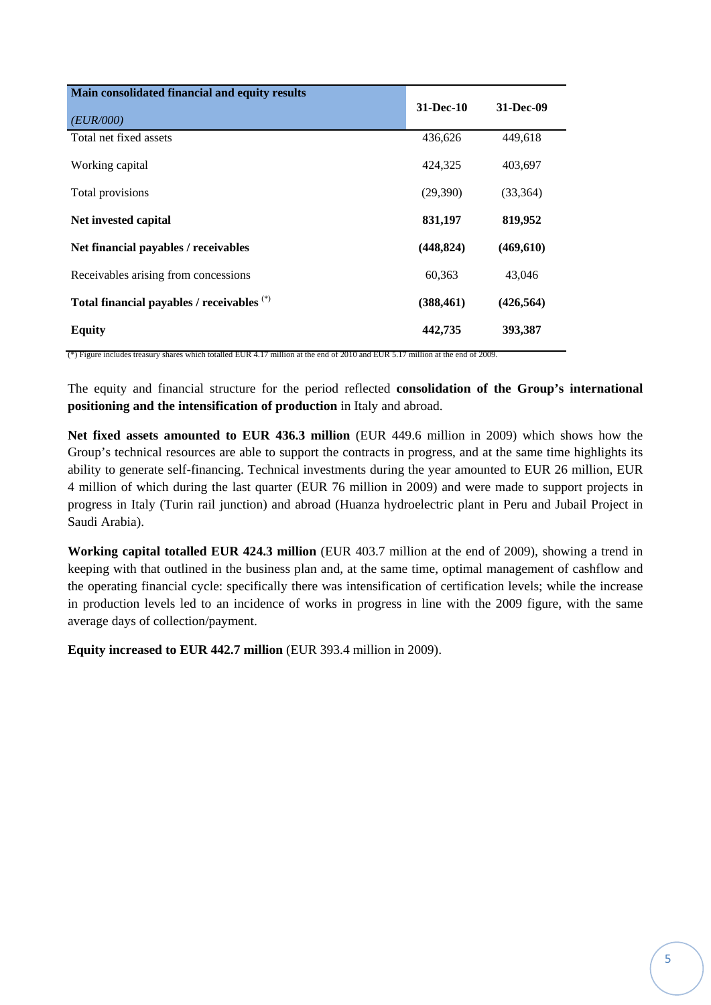| Main consolidated financial and equity results |             |            |
|------------------------------------------------|-------------|------------|
| (EUR/000)                                      | $31-Dec-10$ | 31-Dec-09  |
| Total net fixed assets                         | 436,626     | 449,618    |
| Working capital                                | 424,325     | 403,697    |
| Total provisions                               | (29,390)    | (33, 364)  |
| Net invested capital                           | 831,197     | 819,952    |
| Net financial payables / receivables           | (448, 824)  | (469, 610) |
| Receivables arising from concessions           | 60,363      | 43,046     |
| Total financial payables / receivables (*)     | (388, 461)  | (426, 564) |
| <b>Equity</b>                                  | 442,735     | 393,387    |

(\*) Figure includes treasury shares which totalled EUR 4.17 million at the end of 2010 and EUR 5.17 million at the end of 2009.

The equity and financial structure for the period reflected **consolidation of the Group's international positioning and the intensification of production** in Italy and abroad.

**Net fixed assets amounted to EUR 436.3 million** (EUR 449.6 million in 2009) which shows how the Group's technical resources are able to support the contracts in progress, and at the same time highlights its ability to generate self-financing. Technical investments during the year amounted to EUR 26 million, EUR 4 million of which during the last quarter (EUR 76 million in 2009) and were made to support projects in progress in Italy (Turin rail junction) and abroad (Huanza hydroelectric plant in Peru and Jubail Project in Saudi Arabia).

**Working capital totalled EUR 424.3 million** (EUR 403.7 million at the end of 2009), showing a trend in keeping with that outlined in the business plan and, at the same time, optimal management of cashflow and the operating financial cycle: specifically there was intensification of certification levels; while the increase in production levels led to an incidence of works in progress in line with the 2009 figure, with the same average days of collection/payment.

**Equity increased to EUR 442.7 million** (EUR 393.4 million in 2009).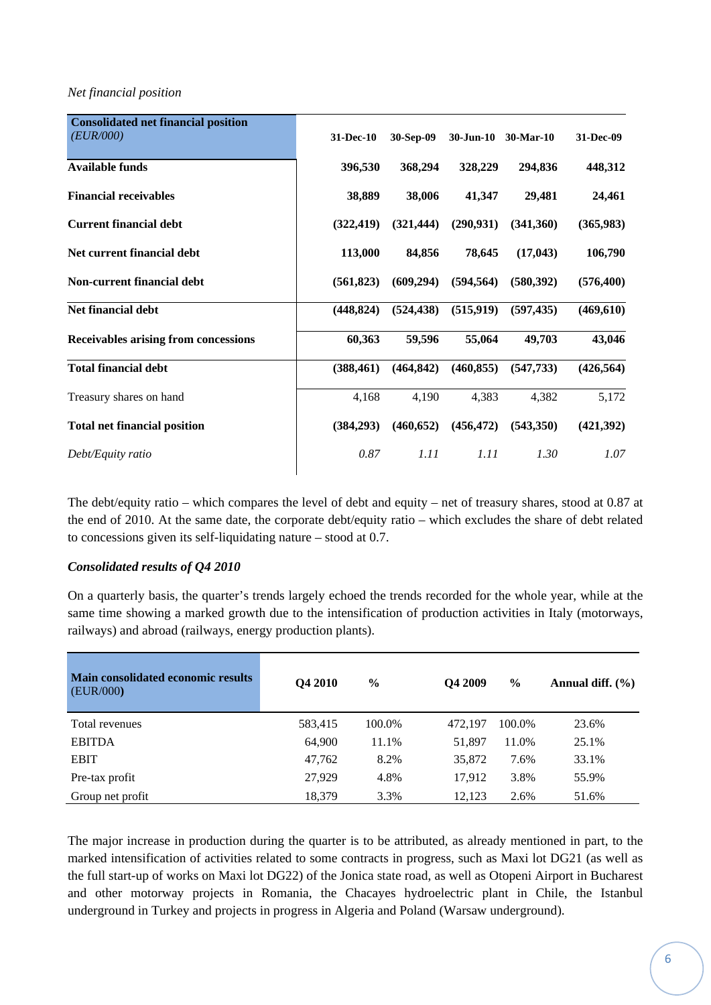#### *Net financial position*

| <b>Consolidated net financial position</b>  |            |            |            |                     |            |
|---------------------------------------------|------------|------------|------------|---------------------|------------|
| (EUR/000)                                   | 31-Dec-10  | 30-Sep-09  |            | 30-Jun-10 30-Mar-10 | 31-Dec-09  |
| <b>Available funds</b>                      | 396,530    | 368,294    | 328,229    | 294,836             | 448,312    |
| <b>Financial receivables</b>                | 38,889     | 38,006     | 41,347     | 29,481              | 24,461     |
| <b>Current financial debt</b>               | (322, 419) | (321, 444) | (290, 931) | (341,360)           | (365, 983) |
| Net current financial debt                  | 113,000    | 84,856     | 78,645     | (17, 043)           | 106,790    |
| Non-current financial debt                  | (561, 823) | (609, 294) | (594, 564) | (580, 392)          | (576, 400) |
| Net financial debt                          | (448, 824) | (524, 438) | (515, 919) | (597, 435)          | (469, 610) |
| <b>Receivables arising from concessions</b> | 60,363     | 59,596     | 55,064     | 49,703              | 43,046     |
| <b>Total financial debt</b>                 | (388, 461) | (464, 842) | (460, 855) | (547, 733)          | (426, 564) |
| Treasury shares on hand                     | 4,168      | 4,190      | 4,383      | 4,382               | 5,172      |
| <b>Total net financial position</b>         | (384, 293) | (460, 652) | (456, 472) | (543,350)           | (421,392)  |
| Debt/Equity ratio                           | 0.87       | 1.11       | 1.11       | 1.30                | 1.07       |
|                                             |            |            |            |                     |            |

The debt/equity ratio *–* which compares the level of debt and equity – net of treasury shares, stood at 0.87 at the end of 2010. At the same date, the corporate debt/equity ratio – which excludes the share of debt related to concessions given its self-liquidating nature – stood at 0.7.

## *Consolidated results of Q4 2010*

On a quarterly basis, the quarter's trends largely echoed the trends recorded for the whole year, while at the same time showing a marked growth due to the intensification of production activities in Italy (motorways, railways) and abroad (railways, energy production plants).

| <b>Main consolidated economic results</b><br>(EUR/000) | Q4 2010 | $\%$   | Q4 2009 | $\%$   | Annual diff. $(\% )$ |
|--------------------------------------------------------|---------|--------|---------|--------|----------------------|
| Total revenues                                         | 583,415 | 100.0% | 472.197 | 100.0% | 23.6%                |
| <b>EBITDA</b>                                          | 64,900  | 11.1%  | 51,897  | 11.0%  | 25.1%                |
| <b>EBIT</b>                                            | 47.762  | 8.2%   | 35,872  | 7.6%   | 33.1%                |
| Pre-tax profit                                         | 27.929  | 4.8%   | 17,912  | 3.8%   | 55.9%                |
| Group net profit                                       | 18,379  | 3.3%   | 12,123  | 2.6%   | 51.6%                |

The major increase in production during the quarter is to be attributed, as already mentioned in part, to the marked intensification of activities related to some contracts in progress, such as Maxi lot DG21 (as well as the full start-up of works on Maxi lot DG22) of the Jonica state road, as well as Otopeni Airport in Bucharest and other motorway projects in Romania, the Chacayes hydroelectric plant in Chile, the Istanbul underground in Turkey and projects in progress in Algeria and Poland (Warsaw underground).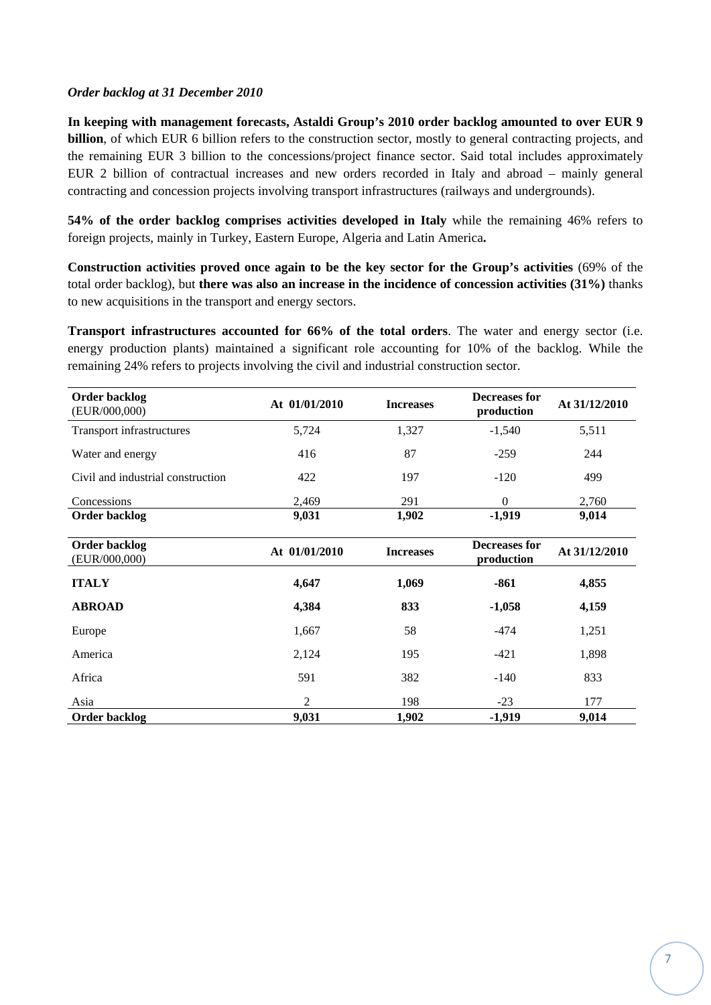### *Order backlog at 31 December 2010*

**In keeping with management forecasts, Astaldi Group's 2010 order backlog amounted to over EUR 9 billion**, of which EUR 6 billion refers to the construction sector, mostly to general contracting projects, and the remaining EUR 3 billion to the concessions/project finance sector. Said total includes approximately EUR 2 billion of contractual increases and new orders recorded in Italy and abroad – mainly general contracting and concession projects involving transport infrastructures (railways and undergrounds).

**54% of the order backlog comprises activities developed in Italy** while the remaining 46% refers to foreign projects, mainly in Turkey, Eastern Europe, Algeria and Latin America**.** 

**Construction activities proved once again to be the key sector for the Group's activities** (69% of the total order backlog), but **there was also an increase in the incidence of concession activities (31%)** thanks to new acquisitions in the transport and energy sectors.

**Transport infrastructures accounted for 66% of the total orders**. The water and energy sector (i.e. energy production plants) maintained a significant role accounting for 10% of the backlog. While the remaining 24% refers to projects involving the civil and industrial construction sector.

| Order backlog<br>(EUR/000,000)    | At 01/01/2010  | <b>Increases</b> | Decreases for<br>production        | At 31/12/2010 |
|-----------------------------------|----------------|------------------|------------------------------------|---------------|
| <b>Transport infrastructures</b>  | 5,724          | 1,327            | $-1,540$                           | 5,511         |
| Water and energy                  | 416            | 87               | $-259$                             | 244           |
| Civil and industrial construction | 422            | 197              | $-120$                             | 499           |
| Concessions                       | 2,469          | 291              | $\Omega$                           | 2,760         |
| <b>Order backlog</b>              | 9,031          | 1,902            | $-1,919$                           | 9,014         |
| Order backlog<br>(EUR/000,000)    | At 01/01/2010  | <b>Increases</b> | <b>Decreases for</b><br>production | At 31/12/2010 |
| <b>ITALY</b>                      | 4,647          | 1,069            | $-861$                             | 4,855         |
| <b>ABROAD</b>                     | 4,384          | 833              | $-1,058$                           | 4,159         |
| Europe                            | 1,667          | 58               | $-474$                             | 1,251         |
| America                           | 2,124          | 195              | $-421$                             | 1,898         |
| Africa                            | 591            | 382              | $-140$                             | 833           |
| Asia                              | $\overline{2}$ | 198              | $-23$                              | 177           |
| Order backlog                     | 9,031          | 1,902            | $-1,919$                           | 9,014         |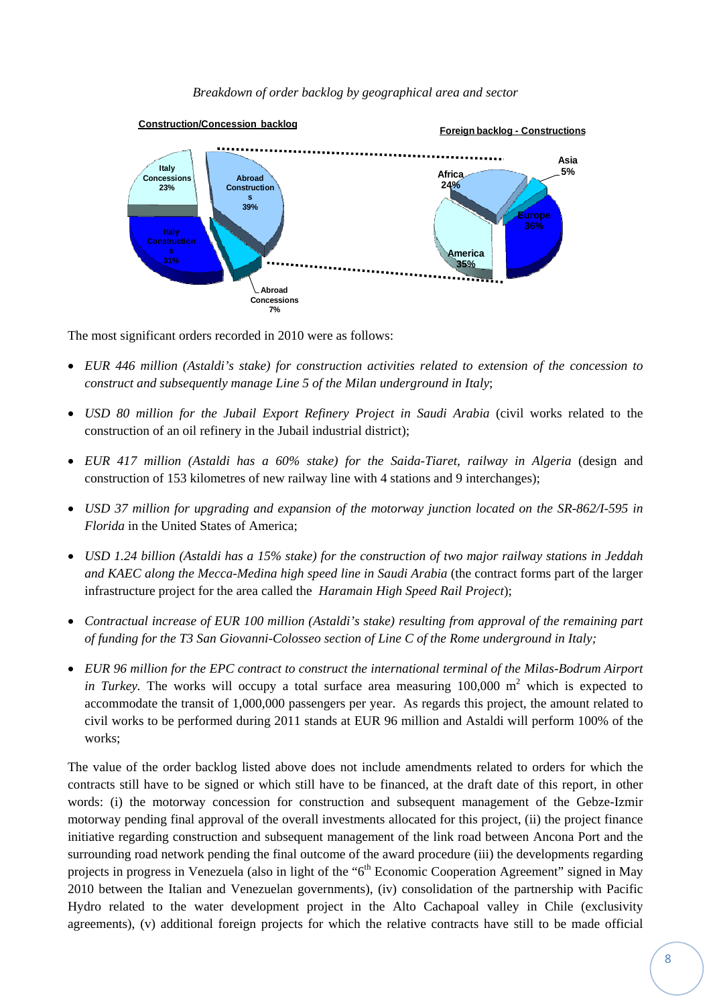*Breakdown of order backlog by geographical area and sector* 



The most significant orders recorded in 2010 were as follows:

- *EUR 446 million (Astaldi's stake) for construction activities related to extension of the concession to construct and subsequently manage Line 5 of the Milan underground in Italy*;
- *USD 80 million for the Jubail Export Refinery Project in Saudi Arabia* (civil works related to the construction of an oil refinery in the Jubail industrial district);
- *EUR 417 million (Astaldi has a 60% stake) for the Saida-Tiaret, railway in Algeria* (design and construction of 153 kilometres of new railway line with 4 stations and 9 interchanges);
- *USD 37 million for upgrading and expansion of the motorway junction located on the SR-862/I-595 in Florida* in the United States of America;
- *USD 1.24 billion (Astaldi has a 15% stake) for the construction of two major railway stations in Jeddah and KAEC along the Mecca-Medina high speed line in Saudi Arabia* (the contract forms part of the larger infrastructure project for the area called the *Haramain High Speed Rail Project*);
- *Contractual increase of EUR 100 million (Astaldi's stake) resulting from approval of the remaining part of funding for the T3 San Giovanni-Colosseo section of Line C of the Rome underground in Italy;*
- *EUR 96 million for the EPC contract to construct the international terminal of the Milas-Bodrum Airport in Turkey*. The works will occupy a total surface area measuring  $100,000 \text{ m}^2$  which is expected to accommodate the transit of 1,000,000 passengers per year. As regards this project, the amount related to civil works to be performed during 2011 stands at EUR 96 million and Astaldi will perform 100% of the works;

The value of the order backlog listed above does not include amendments related to orders for which the contracts still have to be signed or which still have to be financed, at the draft date of this report, in other words: (i) the motorway concession for construction and subsequent management of the Gebze-Izmir motorway pending final approval of the overall investments allocated for this project, (ii) the project finance initiative regarding construction and subsequent management of the link road between Ancona Port and the surrounding road network pending the final outcome of the award procedure (iii) the developments regarding projects in progress in Venezuela (also in light of the "6<sup>th</sup> Economic Cooperation Agreement" signed in May 2010 between the Italian and Venezuelan governments), (iv) consolidation of the partnership with Pacific Hydro related to the water development project in the Alto Cachapoal valley in Chile (exclusivity agreements), (v) additional foreign projects for which the relative contracts have still to be made official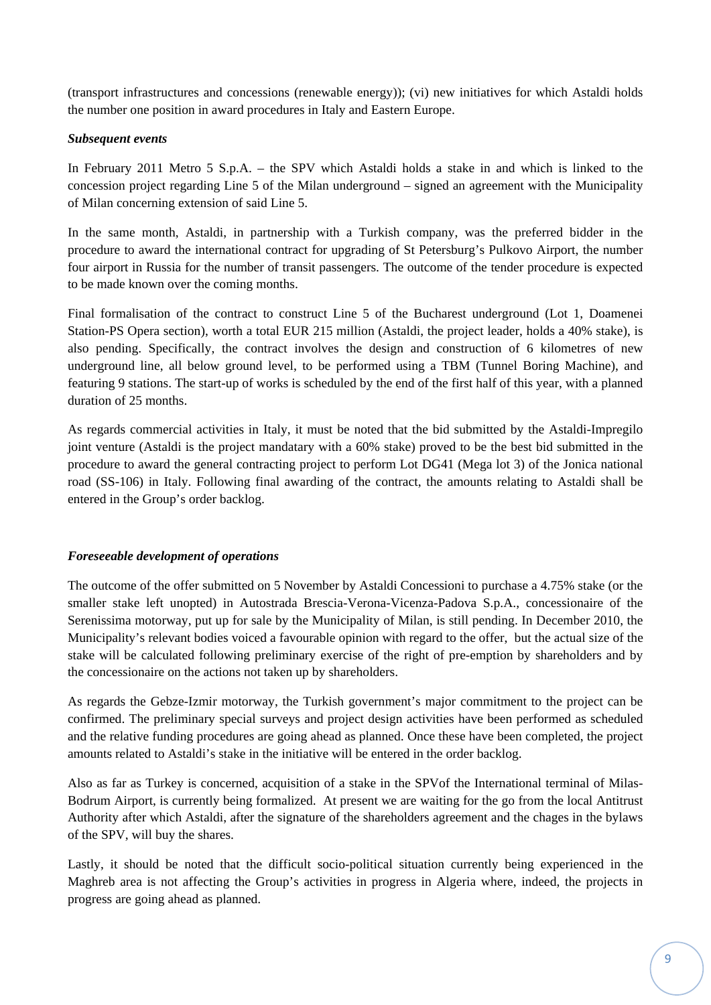(transport infrastructures and concessions (renewable energy)); (vi) new initiatives for which Astaldi holds the number one position in award procedures in Italy and Eastern Europe.

### *Subsequent events*

In February 2011 Metro 5 S.p.A. – the SPV which Astaldi holds a stake in and which is linked to the concession project regarding Line 5 of the Milan underground – signed an agreement with the Municipality of Milan concerning extension of said Line 5.

In the same month, Astaldi, in partnership with a Turkish company, was the preferred bidder in the procedure to award the international contract for upgrading of St Petersburg's Pulkovo Airport, the number four airport in Russia for the number of transit passengers. The outcome of the tender procedure is expected to be made known over the coming months.

Final formalisation of the contract to construct Line 5 of the Bucharest underground (Lot 1, Doamenei Station-PS Opera section), worth a total EUR 215 million (Astaldi, the project leader, holds a 40% stake), is also pending. Specifically, the contract involves the design and construction of 6 kilometres of new underground line, all below ground level, to be performed using a TBM (Tunnel Boring Machine), and featuring 9 stations. The start-up of works is scheduled by the end of the first half of this year, with a planned duration of 25 months.

As regards commercial activities in Italy, it must be noted that the bid submitted by the Astaldi-Impregilo joint venture (Astaldi is the project mandatary with a 60% stake) proved to be the best bid submitted in the procedure to award the general contracting project to perform Lot DG41 (Mega lot 3) of the Jonica national road (SS-106) in Italy. Following final awarding of the contract, the amounts relating to Astaldi shall be entered in the Group's order backlog.

## *Foreseeable development of operations*

The outcome of the offer submitted on 5 November by Astaldi Concessioni to purchase a 4.75% stake (or the smaller stake left unopted) in Autostrada Brescia-Verona-Vicenza-Padova S.p.A., concessionaire of the Serenissima motorway, put up for sale by the Municipality of Milan, is still pending. In December 2010, the Municipality's relevant bodies voiced a favourable opinion with regard to the offer, but the actual size of the stake will be calculated following preliminary exercise of the right of pre-emption by shareholders and by the concessionaire on the actions not taken up by shareholders.

As regards the Gebze-Izmir motorway, the Turkish government's major commitment to the project can be confirmed. The preliminary special surveys and project design activities have been performed as scheduled and the relative funding procedures are going ahead as planned. Once these have been completed, the project amounts related to Astaldi's stake in the initiative will be entered in the order backlog.

Also as far as Turkey is concerned, acquisition of a stake in the SPVof the International terminal of Milas-Bodrum Airport, is currently being formalized. At present we are waiting for the go from the local Antitrust Authority after which Astaldi, after the signature of the shareholders agreement and the chages in the bylaws of the SPV, will buy the shares.

Lastly, it should be noted that the difficult socio-political situation currently being experienced in the Maghreb area is not affecting the Group's activities in progress in Algeria where, indeed, the projects in progress are going ahead as planned.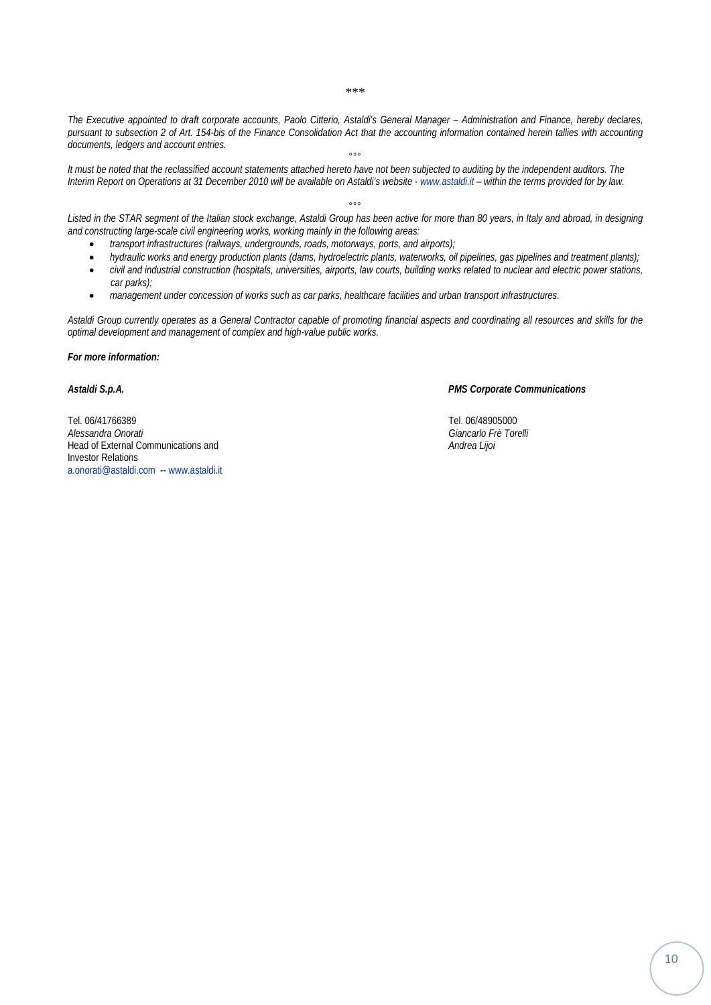\*\*\*

*The Executive appointed to draft corporate accounts, Paolo Citterio, Astaldi's General Manager – Administration and Finance, hereby declares, pursuant to subsection 2 of Art. 154-bis of the Finance Consolidation Act that the accounting information contained herein tallies with accounting documents, ledgers and account entries.* 

°°° *It must be noted that the reclassified account statements attached hereto have not been subjected to auditing by the independent auditors. The Interim Report on Operations at 31 December 2010 will be available on Astaldi's website - www.astaldi.it – within the terms provided for by law.* 

 $^{\circ}$ *Listed in the STAR segment of the Italian stock exchange, Astaldi Group has been active for more than 80 years, in Italy and abroad, in designing and constructing large-scale civil engineering works, working mainly in the following areas:* 

- *transport infrastructures (railways, undergrounds, roads, motorways, ports, and airports);*
- *hydraulic works and energy production plants (dams, hydroelectric plants, waterworks, oil pipelines, gas pipelines and treatment plants);*
- *civil and industrial construction (hospitals, universities, airports, law courts, building works related to nuclear and electric power stations, car parks);*
- *management under concession of works such as car parks, healthcare facilities and urban transport infrastructures.*

*Astaldi Group currently operates as a General Contractor capable of promoting financial aspects and coordinating all resources and skills for the optimal development and management of complex and high-value public works.* 

*For more information:* 

Tel. 06/41766389 Tel. 06/48905000 *Alessandra Onorati Giancarlo Frè Torelli* Head of External Communications and *Andrea Lijoi* Investor Relations a.onorati@astaldi.com -- www.astaldi.it

*Astaldi S.p.A. PMS Corporate Communications*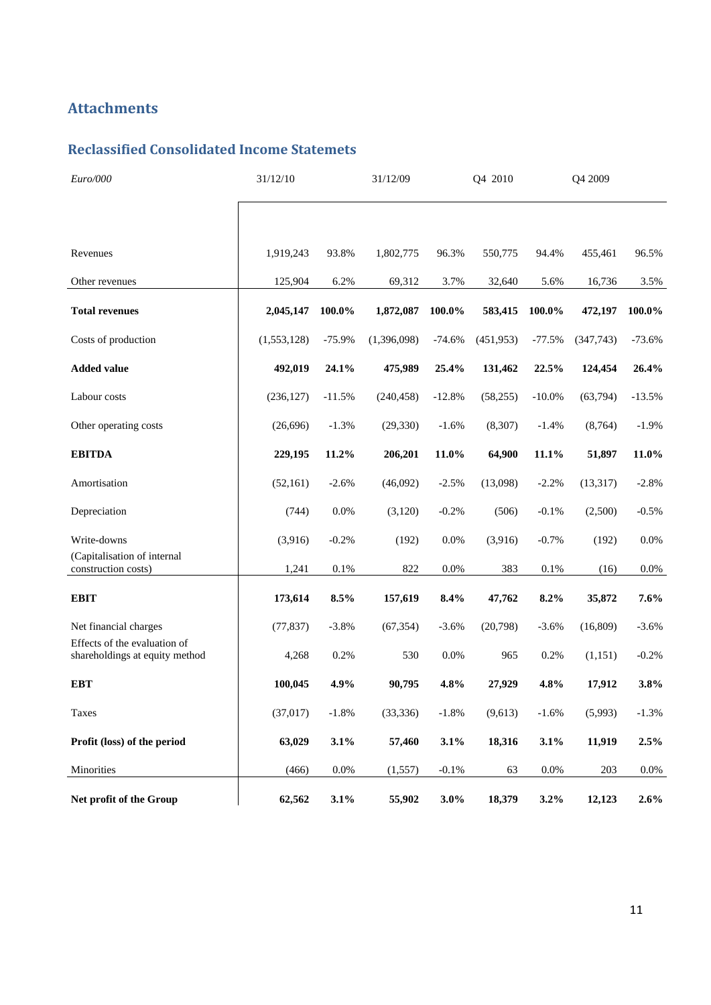## **Attachments**

## **Reclassified Consolidated Income Statemets**

| Euro/000                                                       | 31/12/10    |          | 31/12/09    |          | Q4 2010    |           | Q4 2009   |          |
|----------------------------------------------------------------|-------------|----------|-------------|----------|------------|-----------|-----------|----------|
|                                                                |             |          |             |          |            |           |           |          |
| Revenues                                                       | 1,919,243   | 93.8%    | 1,802,775   | 96.3%    | 550,775    | 94.4%     | 455,461   | 96.5%    |
| Other revenues                                                 | 125,904     | 6.2%     | 69,312      | 3.7%     | 32,640     | 5.6%      | 16,736    | 3.5%     |
| <b>Total revenues</b>                                          | 2,045,147   | 100.0%   | 1,872,087   | 100.0%   | 583,415    | 100.0%    | 472,197   | 100.0%   |
| Costs of production                                            | (1,553,128) | $-75.9%$ | (1,396,098) | $-74.6%$ | (451, 953) | $-77.5%$  | (347,743) | $-73.6%$ |
| <b>Added value</b>                                             | 492,019     | 24.1%    | 475,989     | 25.4%    | 131,462    | 22.5%     | 124,454   | 26.4%    |
| Labour costs                                                   | (236, 127)  | $-11.5%$ | (240, 458)  | $-12.8%$ | (58, 255)  | $-10.0\%$ | (63,794)  | $-13.5%$ |
| Other operating costs                                          | (26,696)    | $-1.3%$  | (29, 330)   | $-1.6%$  | (8,307)    | $-1.4%$   | (8,764)   | $-1.9%$  |
| <b>EBITDA</b>                                                  | 229,195     | 11.2%    | 206,201     | 11.0%    | 64,900     | 11.1%     | 51,897    | 11.0%    |
| Amortisation                                                   | (52, 161)   | $-2.6%$  | (46,092)    | $-2.5%$  | (13,098)   | $-2.2%$   | (13, 317) | $-2.8%$  |
| Depreciation                                                   | (744)       | $0.0\%$  | (3,120)     | $-0.2%$  | (506)      | $-0.1%$   | (2,500)   | $-0.5\%$ |
| Write-downs                                                    | (3,916)     | $-0.2%$  | (192)       | 0.0%     | (3,916)    | $-0.7%$   | (192)     | 0.0%     |
| (Capitalisation of internal<br>construction costs)             | 1,241       | 0.1%     | 822         | $0.0\%$  | 383        | 0.1%      | (16)      | $0.0\%$  |
| <b>EBIT</b>                                                    | 173,614     | 8.5%     | 157,619     | 8.4%     | 47,762     | 8.2%      | 35,872    | 7.6%     |
| Net financial charges                                          | (77, 837)   | $-3.8%$  | (67, 354)   | $-3.6%$  | (20,798)   | $-3.6%$   | (16, 809) | $-3.6%$  |
| Effects of the evaluation of<br>shareholdings at equity method | 4,268       | 0.2%     | 530         | $0.0\%$  | 965        | 0.2%      | (1,151)   | $-0.2%$  |
| <b>EBT</b>                                                     | 100,045     | 4.9%     | 90,795      | 4.8%     | 27,929     | 4.8%      | 17,912    | 3.8%     |
| Taxes                                                          | (37, 017)   | $-1.8%$  | (33, 336)   | $-1.8%$  | (9,613)    | $-1.6%$   | (5,993)   | $-1.3%$  |
| Profit (loss) of the period                                    | 63,029      | 3.1%     | 57,460      | 3.1%     | 18,316     | 3.1%      | 11,919    | 2.5%     |
| Minorities                                                     | (466)       | 0.0%     | (1, 557)    | $-0.1%$  | 63         | $0.0\%$   | 203       | $0.0\%$  |
| Net profit of the Group                                        | 62,562      | 3.1%     | 55,902      | 3.0%     | 18,379     | 3.2%      | 12,123    | $2.6\%$  |